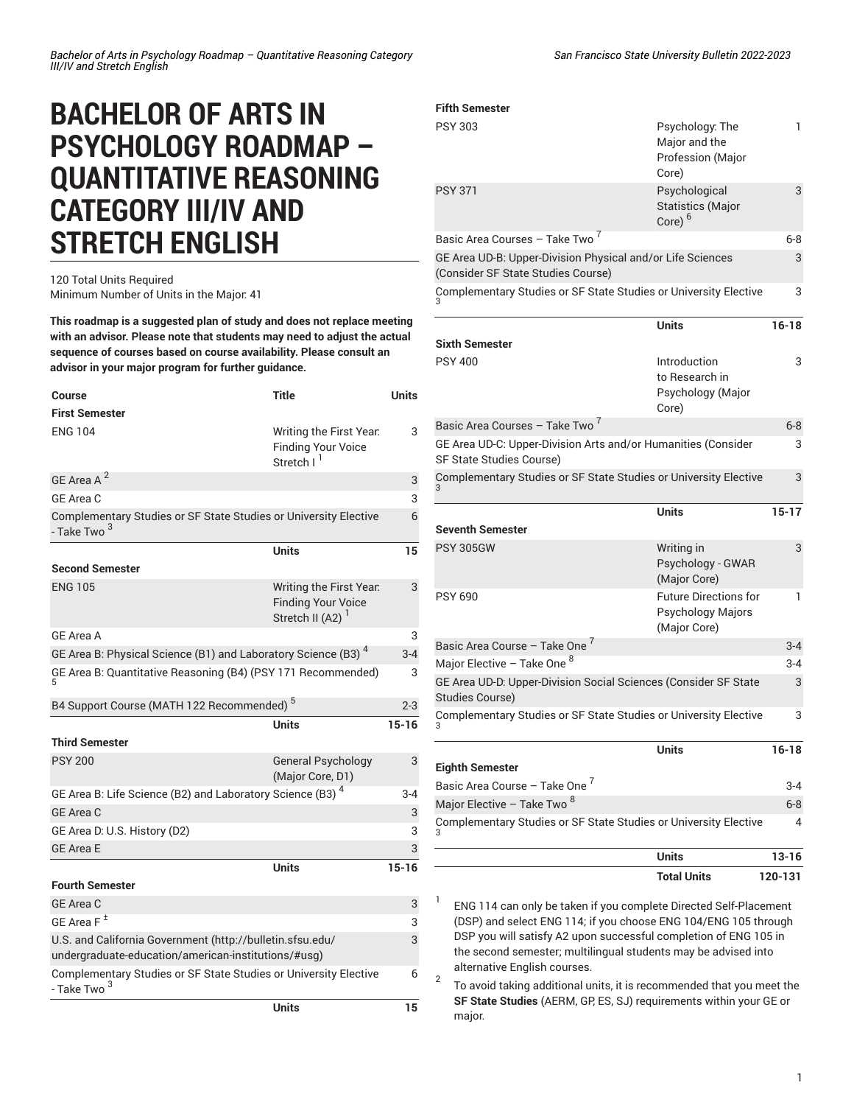## **BACHELOR OF ARTS IN PSYCHOLOGY ROADMAP – QUANTITATIVE REASONING CATEGORY III/IV AND STRETCH ENGLISH**

## 120 Total Units Required Minimum Number of Units in the Major: 41

**This roadmap is a suggested plan of study and does not replace meeting with an advisor. Please note that students may need to adjust the actual sequence of courses based on course availability. Please consult an**

**advisor in your major program for further guidance.**

| Course                                                                                                           | Title                                                                                | Units     |
|------------------------------------------------------------------------------------------------------------------|--------------------------------------------------------------------------------------|-----------|
| <b>First Semester</b>                                                                                            |                                                                                      |           |
| <b>ENG 104</b>                                                                                                   | Writing the First Year.<br><b>Finding Your Voice</b><br>Stretch I <sup>1</sup>       | 3         |
| GE Area A <sup>2</sup>                                                                                           |                                                                                      | 3         |
| GE Area C                                                                                                        |                                                                                      | 3         |
| Complementary Studies or SF State Studies or University Elective<br>- Take Two <sup>3</sup>                      |                                                                                      | 6         |
|                                                                                                                  | <b>Units</b>                                                                         | 15        |
| <b>Second Semester</b>                                                                                           |                                                                                      |           |
| <b>ENG 105</b>                                                                                                   | Writing the First Year.<br><b>Finding Your Voice</b><br>Stretch II (A2) <sup>1</sup> | 3         |
| <b>GE Area A</b>                                                                                                 |                                                                                      | 3         |
| GE Area B: Physical Science (B1) and Laboratory Science (B3) <sup>4</sup>                                        |                                                                                      | $3 - 4$   |
| GE Area B: Quantitative Reasoning (B4) (PSY 171 Recommended)                                                     |                                                                                      | 3         |
| B4 Support Course (MATH 122 Recommended) <sup>5</sup>                                                            |                                                                                      |           |
|                                                                                                                  |                                                                                      | $2 - 3$   |
| <b>Third Semester</b>                                                                                            | <b>Units</b>                                                                         | $15 - 16$ |
| <b>PSY 200</b>                                                                                                   | <b>General Psychology</b><br>(Major Core, D1)                                        | 3         |
| GE Area B: Life Science (B2) and Laboratory Science (B3) <sup>4</sup>                                            |                                                                                      | $3 - 4$   |
| <b>GE Area C</b>                                                                                                 |                                                                                      | 3         |
| GE Area D: U.S. History (D2)                                                                                     |                                                                                      | 3         |
| <b>GE Area E</b>                                                                                                 |                                                                                      | 3         |
|                                                                                                                  | <b>Units</b>                                                                         | $15 - 16$ |
| <b>Fourth Semester</b>                                                                                           |                                                                                      |           |
| GE Area C                                                                                                        |                                                                                      | 3         |
| GE Area $F^{\pm}$                                                                                                |                                                                                      | 3         |
| U.S. and California Government (http://bulletin.sfsu.edu/<br>undergraduate-education/american-institutions/#usg) |                                                                                      | 3         |
| Complementary Studies or SF State Studies or University Elective<br>- Take Two <sup>3</sup>                      |                                                                                      | 6         |

| Fifth Semester                                                                                   |                                                                          |           |
|--------------------------------------------------------------------------------------------------|--------------------------------------------------------------------------|-----------|
| PSY 303                                                                                          | Psychology: The<br>Major and the<br>Profession (Major<br>Core)           | 1         |
| <b>PSY 371</b>                                                                                   | Psychological<br><b>Statistics (Major</b><br>Core) $6$                   | 3         |
| Basic Area Courses – Take Two <sup>7</sup>                                                       |                                                                          | 6-8       |
| GE Area UD-B: Upper-Division Physical and/or Life Sciences<br>(Consider SF State Studies Course) |                                                                          | 3         |
| Complementary Studies or SF State Studies or University Elective                                 |                                                                          | 3         |
|                                                                                                  | <b>Units</b>                                                             | $16 - 18$ |
| <b>Sixth Semester</b>                                                                            |                                                                          |           |
| <b>PSY 400</b>                                                                                   | Introduction<br>to Research in<br>Psychology (Major<br>Core)             | 3         |
| Basic Area Courses – Take Two <sup>7</sup>                                                       |                                                                          | $6 - 8$   |
| GE Area UD-C: Upper-Division Arts and/or Humanities (Consider<br>SF State Studies Course)        |                                                                          | 3         |
| Complementary Studies or SF State Studies or University Elective                                 |                                                                          | 3         |
| Seventh Semester                                                                                 | <b>Units</b>                                                             | $15 - 17$ |
| <b>PSY 305GW</b>                                                                                 | Writing in<br>Psychology - GWAR<br>(Major Core)                          | 3         |
| PSY 690                                                                                          | <b>Future Directions for</b><br><b>Psychology Majors</b><br>(Major Core) | 1         |
| Basic Area Course – Take One <sup>7</sup>                                                        |                                                                          | $3 - 4$   |
| Major Elective – Take One $^8$                                                                   |                                                                          | $3 - 4$   |
| GE Area UD-D: Upper-Division Social Sciences (Consider SF State<br><b>Studies Course)</b>        |                                                                          | 3         |
| Complementary Studies or SF State Studies or University Elective                                 |                                                                          | 3         |
|                                                                                                  | <b>Units</b>                                                             | $16 - 18$ |
| <b>Eighth Semester</b>                                                                           |                                                                          |           |
| Basic Area Course – Take One <sup>7</sup>                                                        |                                                                          | 3-4       |
| Major Elective – Take Two <sup>8</sup>                                                           |                                                                          | $6 - 8$   |
| Complementary Studies or SF State Studies or University Elective<br>3                            |                                                                          | 4         |

| <b>Units</b>       | $13 - 16$ |  |
|--------------------|-----------|--|
| <b>Total Units</b> | 120-131   |  |

1 ENG 114 can only be taken if you complete Directed Self-Placement (DSP) and select ENG 114; if you choose ENG 104/ENG 105 through DSP you will satisfy A2 upon successful completion of ENG 105 in the second semester; multilingual students may be advised into alternative English courses. 2

To avoid taking additional units, it is recommended that you meet the **SF State Studies** (AERM, GP, ES, SJ) requirements within your GE or major.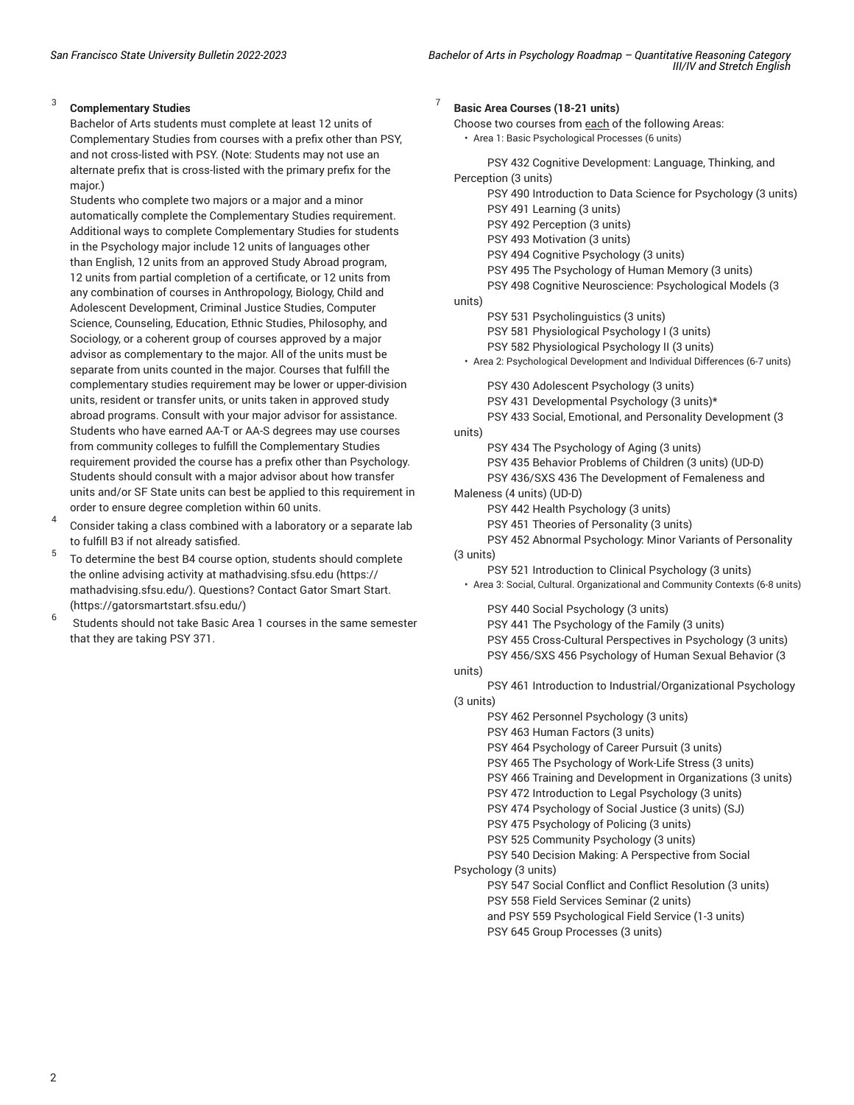7

## 3 **Complementary Studies**

Bachelor of Arts students must complete at least 12 units of Complementary Studies from courses with a prefix other than PSY, and not cross-listed with PSY. (Note: Students may not use an alternate prefix that is cross-listed with the primary prefix for the major.)

Students who complete two majors or a major and a minor automatically complete the Complementary Studies requirement. Additional ways to complete Complementary Studies for students in the Psychology major include 12 units of languages other than English, 12 units from an approved Study Abroad program, 12 units from partial completion of a certificate, or 12 units from any combination of courses in Anthropology, Biology, Child and Adolescent Development, Criminal Justice Studies, Computer Science, Counseling, Education, Ethnic Studies, Philosophy, and Sociology, or a coherent group of courses approved by a major advisor as complementary to the major. All of the units must be separate from units counted in the major. Courses that fulfill the complementary studies requirement may be lower or upper-division units, resident or transfer units, or units taken in approved study abroad programs. Consult with your major advisor for assistance. Students who have earned AA-T or AA-S degrees may use courses from community colleges to fulfill the Complementary Studies requirement provided the course has a prefix other than Psychology. Students should consult with a major advisor about how transfer units and/or SF State units can best be applied to this requirement in order to ensure degree completion within 60 units.

- 4 Consider taking a class combined with a laboratory or a separate lab to fulfill B3 if not already satisfied.
- 5 To determine the best B4 course option, students should complete the online advising activity at [mathadvising.sfsu.edu](https://mathadvising.sfsu.edu/) ([https://](https://mathadvising.sfsu.edu/) [mathadvising.sfsu.edu/\)](https://mathadvising.sfsu.edu/). Questions? Contact Gator [Smart](https://gatorsmartstart.sfsu.edu/) Start. ([https://gatorsmartstart.sfsu.edu/\)](https://gatorsmartstart.sfsu.edu/)
- 6 Students should not take Basic Area 1 courses in the same semester that they are taking PSY 371.

**Basic Area Courses (18-21 units)** Choose two courses from each of the following Areas: • Area 1: Basic Psychological Processes (6 units) PSY 432 Cognitive Development: Language, Thinking, and Perception (3 units) PSY 490 Introduction to Data Science for Psychology (3 units) PSY 491 Learning (3 units) PSY 492 Perception (3 units) PSY 493 Motivation (3 units) PSY 494 Cognitive Psychology (3 units) PSY 495 The Psychology of Human Memory (3 units) PSY 498 Cognitive Neuroscience: Psychological Models (3 units) PSY 531 Psycholinguistics (3 units) PSY 581 Physiological Psychology I (3 units) PSY 582 Physiological Psychology II (3 units) • Area 2: Psychological Development and Individual Differences (6-7 units) PSY 430 Adolescent Psychology (3 units) PSY 431 Developmental Psychology (3 units)\* PSY 433 Social, Emotional, and Personality Development (3 units) PSY 434 The Psychology of Aging (3 units) PSY 435 Behavior Problems of Children (3 units) (UD-D) PSY 436/SXS 436 The Development of Femaleness and Maleness (4 units) (UD-D) PSY 442 Health Psychology (3 units) PSY 451 Theories of Personality (3 units) PSY 452 Abnormal Psychology: Minor Variants of Personality (3 units) PSY 521 Introduction to Clinical Psychology (3 units) • Area 3: Social, Cultural. Organizational and Community Contexts (6-8 units) PSY 440 Social Psychology (3 units) PSY 441 The Psychology of the Family (3 units) PSY 455 Cross-Cultural Perspectives in Psychology (3 units) PSY 456/SXS 456 Psychology of Human Sexual Behavior (3 units) PSY 461 Introduction to Industrial/Organizational Psychology (3 units) PSY 462 Personnel Psychology (3 units) PSY 463 Human Factors (3 units) PSY 464 Psychology of Career Pursuit (3 units) PSY 465 The Psychology of Work-Life Stress (3 units) PSY 466 Training and Development in Organizations (3 units) PSY 472 Introduction to Legal Psychology (3 units) PSY 474 Psychology of Social Justice (3 units) (SJ) PSY 475 Psychology of Policing (3 units) PSY 525 Community Psychology (3 units) PSY 540 Decision Making: A Perspective from Social Psychology (3 units) PSY 547 Social Conflict and Conflict Resolution (3 units) PSY 558 Field Services Seminar (2 units) and PSY 559 Psychological Field Service (1-3 units) PSY 645 Group Processes (3 units)